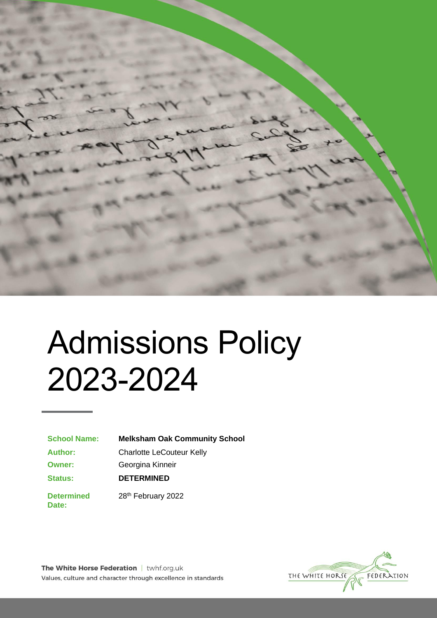

# Admissions Policy 2023-2024

**School Name: Melksham Oak Community School**

**Author:** Charlotte LeCouteur Kelly

**Status:**

**Owner:** Georgina Kinneir

**DETERMINED**

**Determined Date:**

28th February 2022

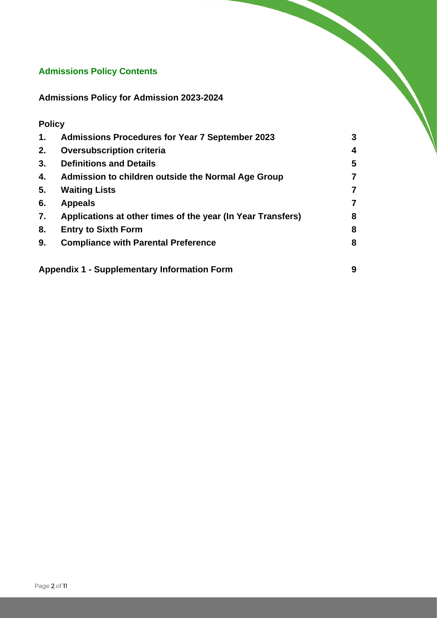# **Admissions Policy Contents**

**Admissions Policy for Admission 2023-2024**

# **Policy**

| 1. | <b>Admissions Procedures for Year 7 September 2023</b>      | 3              |
|----|-------------------------------------------------------------|----------------|
| 2. | <b>Oversubscription criteria</b>                            | 4              |
| 3. | <b>Definitions and Details</b>                              | 5              |
| 4. | Admission to children outside the Normal Age Group          | $\overline{7}$ |
| 5. | <b>Waiting Lists</b>                                        | $\overline{7}$ |
| 6. | <b>Appeals</b>                                              | 7              |
| 7. | Applications at other times of the year (In Year Transfers) | 8              |
| 8. | <b>Entry to Sixth Form</b>                                  | 8              |
| 9. | <b>Compliance with Parental Preference</b>                  | 8              |
|    | <b>Appendix 1 - Supplementary Information Form</b>          | 9              |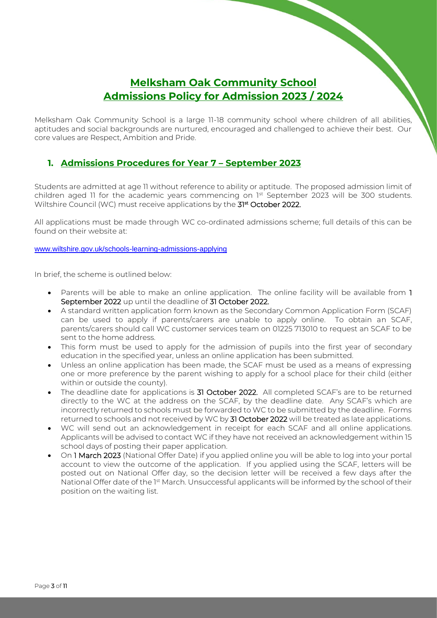# **Melksham Oak Community School Admissions Policy for Admission 2023 / 2024**

Melksham Oak Community School is a large 11-18 community school where children of all abilities, aptitudes and social backgrounds are nurtured, encouraged and challenged to achieve their best. Our core values are Respect, Ambition and Pride.

# **1. Admissions Procedures for Year 7 – September 2023**

Students are admitted at age 11 without reference to ability or aptitude. The proposed admission limit of children aged 11 for the academic years commencing on 1st September 2023 will be 300 students. Wiltshire Council (WC) must receive applications by the **31st October 2022.** 

All applications must be made through WC co-ordinated admissions scheme; full details of this can be found on their website at:

[www.wiltshire.gov.uk/schools-learning-admissions-applying](http://www.wiltshire.gov.uk/schools-learning-admissions-applying)

In brief, the scheme is outlined below:

- Parents will be able to make an online application. The online facility will be available from 1 September 2022 up until the deadline of 31 October 2022.
- A standard written application form known as the Secondary Common Application Form (SCAF) can be used to apply if parents/carers are unable to apply online. To obtain an SCAF, parents/carers should call WC customer services team on 01225 713010 to request an SCAF to be sent to the home address.
- This form must be used to apply for the admission of pupils into the first year of secondary education in the specified year, unless an online application has been submitted.
- Unless an online application has been made, the SCAF must be used as a means of expressing one or more preference by the parent wishing to apply for a school place for their child (either within or outside the county).
- The deadline date for applications is 31 October 2022. All completed SCAF's are to be returned directly to the WC at the address on the SCAF, by the deadline date. Any SCAF's which are incorrectly returned to schools must be forwarded to WC to be submitted by the deadline. Forms returned to schools and not received by WC by 31 October 2022 will be treated as late applications.
- WC will send out an acknowledgement in receipt for each SCAF and all online applications. Applicants will be advised to contact WC if they have not received an acknowledgement within 15 school days of posting their paper application.
- On 1 March 2023 (National Offer Date) if you applied online you will be able to log into your portal account to view the outcome of the application. If you applied using the SCAF, letters will be posted out on National Offer day, so the decision letter will be received a few days after the National Offer date of the 1st March. Unsuccessful applicants will be informed by the school of their position on the waiting list.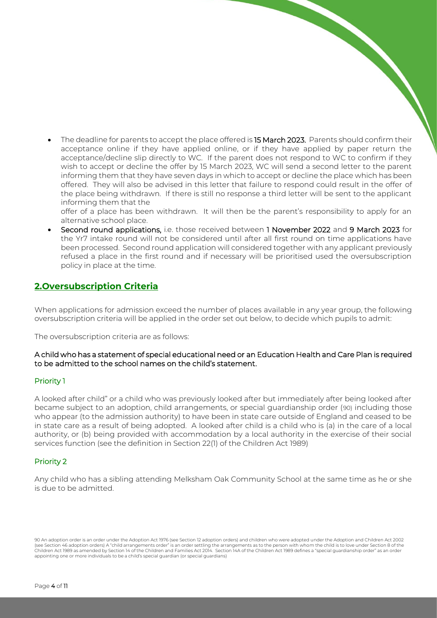The deadline for parents to accept the place offered is 15 March 2023. Parents should confirm their acceptance online if they have applied online, or if they have applied by paper return the acceptance/decline slip directly to WC. If the parent does not respond to WC to confirm if they wish to accept or decline the offer by 15 March 2023, WC will send a second letter to the parent informing them that they have seven days in which to accept or decline the place which has been offered. They will also be advised in this letter that failure to respond could result in the offer of the place being withdrawn. If there is still no response a third letter will be sent to the applicant informing them that the

offer of a place has been withdrawn. It will then be the parent's responsibility to apply for an alternative school place.

• Second round applications, i.e. those received between 1 November 2022 and 9 March 2023 for the Yr7 intake round will not be considered until after all first round on time applications have been processed. Second round application will considered together with any applicant previously refused a place in the first round and if necessary will be prioritised used the oversubscription policy in place at the time.

# **2.Oversubscription Criteria**

When applications for admission exceed the number of places available in any year group, the following oversubscription criteria will be applied in the order set out below, to decide which pupils to admit:

The oversubscription criteria are as follows:

#### A child who has a statement of special educational need or an Education Health and Care Plan is required to be admitted to the school names on the child's statement.

#### Priority 1

A looked after child" or a child who was previously looked after but immediately after being looked after became subject to an adoption, child arrangements, or special guardianship order (90) including those who appear (to the admission authority) to have been in state care outside of England and ceased to be in state care as a result of being adopted. A looked after child is a child who is (a) in the care of a local authority, or (b) being provided with accommodation by a local authority in the exercise of their social services function (see the definition in Section 22(1) of the Children Act 1989)

## Priority 2

Any child who has a sibling attending Melksham Oak Community School at the same time as he or she is due to be admitted.

90 An adoption order is an order under the Adoption Act 1976 (see Section 12 adoption orders) and children who were adopted under the Adoption and Children Act 2002 (see Section 46 adoption orders) A "child arrangements order" is an order settling the arrangements as to the person with whom the child is to love under Section 8 of the Children Act 1989 as amended by Section 14 of the Children and Families Act 2014. Section 14A of the Children Act 1989 defines a "special guardianship order" as an order appointing one or more individuals to be a child's special guardian (or special guardians)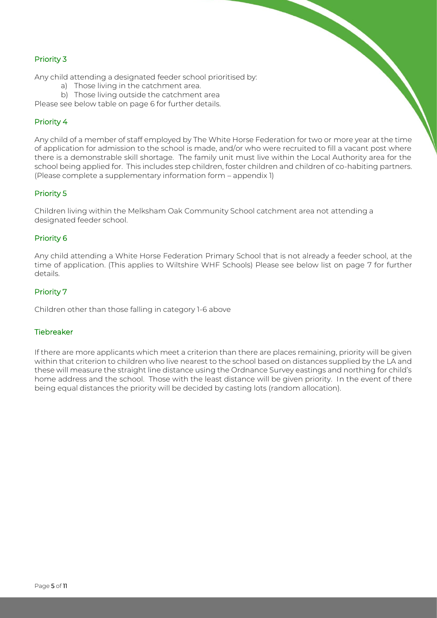## Priority 3

Any child attending a designated feeder school prioritised by:

- a) Those living in the catchment area.
- b) Those living outside the catchment area

Please see below table on page 6 for further details.

## Priority 4

Any child of a member of staff employed by The White Horse Federation for two or more year at the time of application for admission to the school is made, and/or who were recruited to fill a vacant post where there is a demonstrable skill shortage. The family unit must live within the Local Authority area for the school being applied for. This includes step children, foster children and children of co-habiting partners. (Please complete a supplementary information form – appendix 1)

## Priority 5

Children living within the Melksham Oak Community School catchment area not attending a designated feeder school.

## Priority 6

Any child attending a White Horse Federation Primary School that is not already a feeder school, at the time of application. (This applies to Wiltshire WHF Schools) Please see below list on page 7 for further details.

## Priority 7

Children other than those falling in category 1-6 above

#### **Tiebreaker**

If there are more applicants which meet a criterion than there are places remaining, priority will be given within that criterion to children who live nearest to the school based on distances supplied by the LA and these will measure the straight line distance using the Ordnance Survey eastings and northing for child's home address and the school. Those with the least distance will be given priority. In the event of there being equal distances the priority will be decided by casting lots (random allocation).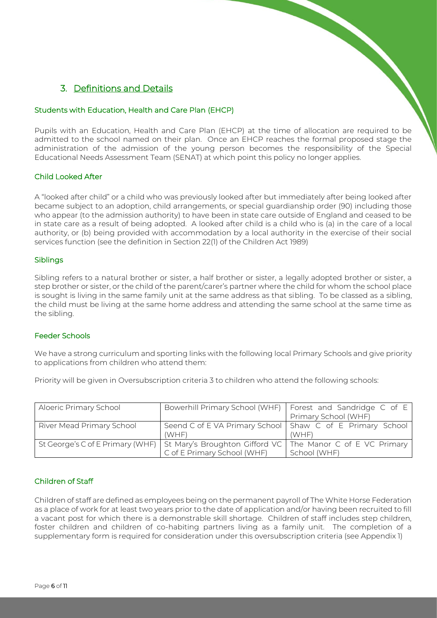# 3. Definitions and Details

#### Students with Education, Health and Care Plan (EHCP)

Pupils with an Education, Health and Care Plan (EHCP) at the time of allocation are required to be admitted to the school named on their plan. Once an EHCP reaches the formal proposed stage the administration of the admission of the young person becomes the responsibility of the Special Educational Needs Assessment Team (SENAT) at which point this policy no longer applies.

#### Child Looked After

A "looked after child" or a child who was previously looked after but immediately after being looked after became subject to an adoption, child arrangements, or special guardianship order (90) including those who appear (to the admission authority) to have been in state care outside of England and ceased to be in state care as a result of being adopted. A looked after child is a child who is (a) in the care of a local authority, or (b) being provided with accommodation by a local authority in the exercise of their social services function (see the definition in Section 22(1) of the Children Act 1989)

#### Siblings

Sibling refers to a natural brother or sister, a half brother or sister, a legally adopted brother or sister, a step brother or sister, or the child of the parent/carer's partner where the child for whom the school place is sought is living in the same family unit at the same address as that sibling. To be classed as a sibling, the child must be living at the same home address and attending the same school at the same time as the sibling.

#### Feeder Schools

We have a strong curriculum and sporting links with the following local Primary Schools and give priority to applications from children who attend them:

Priority will be given in Oversubscription criteria 3 to children who attend the following schools:

| Aloeric Primary School    |                                                                                                                            | Bowerhill Primary School (WHF)   Forest and Sandridge C of E<br>Primary School (WHF) |
|---------------------------|----------------------------------------------------------------------------------------------------------------------------|--------------------------------------------------------------------------------------|
| River Mead Primary School | Seend C of E VA Primary School   Shaw C of E Primary School<br>(WHF)                                                       | (WHF)                                                                                |
|                           | St George's C of E Primary (WHF) St Mary's Broughton Gifford VC The Manor C of E VC Primary<br>C of E Primary School (WHF) | School (WHF)                                                                         |

## Children of Staff

Children of staff are defined as employees being on the permanent payroll of The White Horse Federation as a place of work for at least two years prior to the date of application and/or having been recruited to fill a vacant post for which there is a demonstrable skill shortage. Children of staff includes step children, foster children and children of co-habiting partners living as a family unit. The completion of a supplementary form is required for consideration under this oversubscription criteria (see Appendix 1)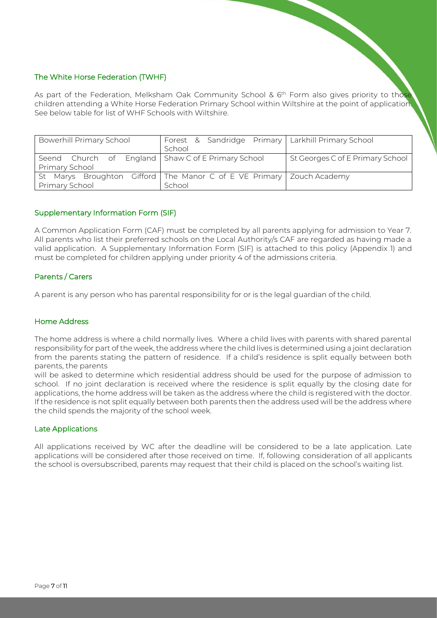## The White Horse Federation (TWHF)

As part of the Federation, Melksham Oak Community School & 6<sup>th</sup> Form also gives priority to those children attending a White Horse Federation Primary School within Wiltshire at the point of application. See below table for list of WHF Schools with Wiltshire.

| <b>Bowerhill Primary School</b>                    | Forest & Sandridge Primary   Larkhill Primary School<br>School           |                                  |
|----------------------------------------------------|--------------------------------------------------------------------------|----------------------------------|
| Seend Church of England Shaw C of E Primary School |                                                                          | St Georges C of E Primary School |
| Primary School                                     |                                                                          |                                  |
|                                                    | St Marys Broughton Gifford   The Manor C of E VE Primary   Zouch Academy |                                  |
| Primary School                                     | School                                                                   |                                  |

#### Supplementary Information Form (SIF)

A Common Application Form (CAF) must be completed by all parents applying for admission to Year 7. All parents who list their preferred schools on the Local Authority/s CAF are regarded as having made a valid application. A Supplementary Information Form (SIF) is attached to this policy (Appendix 1) and must be completed for children applying under priority 4 of the admissions criteria.

## Parents / Carers

A parent is any person who has parental responsibility for or is the legal guardian of the child.

#### Home Address

The home address is where a child normally lives. Where a child lives with parents with shared parental responsibility for part of the week, the address where the child lives is determined using a joint declaration from the parents stating the pattern of residence. If a child's residence is split equally between both parents, the parents

will be asked to determine which residential address should be used for the purpose of admission to school. If no joint declaration is received where the residence is split equally by the closing date for applications, the home address will be taken as the address where the child is registered with the doctor. If the residence is not split equally between both parents then the address used will be the address where the child spends the majority of the school week.

#### Late Applications

All applications received by WC after the deadline will be considered to be a late application. Late applications will be considered after those received on time. If, following consideration of all applicants the school is oversubscribed, parents may request that their child is placed on the school's waiting list.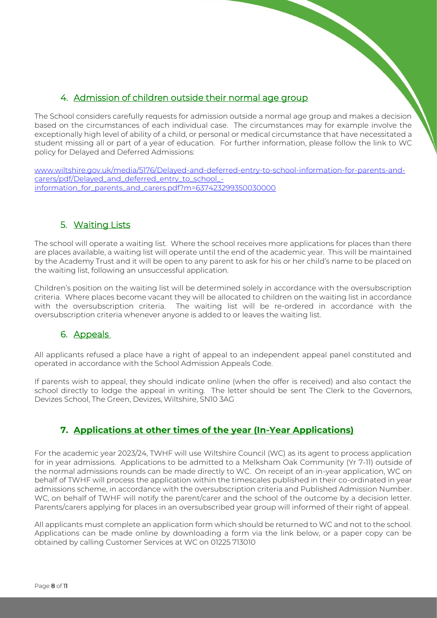# 4. Admission of children outside their normal age group

The School considers carefully requests for admission outside a normal age group and makes a decision based on the circumstances of each individual case. The circumstances may for example involve the exceptionally high level of ability of a child, or personal or medical circumstance that have necessitated a student missing all or part of a year of education. For further information, please follow the link to WC policy for Delayed and Deferred Admissions:

[www.wiltshire.gov.uk/media/5176/Delayed-and-deferred-entry-to-school-information-for-parents-and](http://www.wiltshire.gov.uk/media/5176/Delayed-and-deferred-entry-to-school-information-for-parents-and-carers/pdf/Delayed_and_deferred_entry_to_school_-information_for_parents_and_carers.pdf?m=637423299350030000)[carers/pdf/Delayed\\_and\\_deferred\\_entry\\_to\\_school\\_](http://www.wiltshire.gov.uk/media/5176/Delayed-and-deferred-entry-to-school-information-for-parents-and-carers/pdf/Delayed_and_deferred_entry_to_school_-information_for_parents_and_carers.pdf?m=637423299350030000) [information\\_for\\_parents\\_and\\_carers.pdf?m=637423299350030000](http://www.wiltshire.gov.uk/media/5176/Delayed-and-deferred-entry-to-school-information-for-parents-and-carers/pdf/Delayed_and_deferred_entry_to_school_-information_for_parents_and_carers.pdf?m=637423299350030000)

# 5. Waiting Lists

The school will operate a waiting list. Where the school receives more applications for places than there are places available, a waiting list will operate until the end of the academic year. This will be maintained by the Academy Trust and it will be open to any parent to ask for his or her child's name to be placed on the waiting list, following an unsuccessful application.

Children's position on the waiting list will be determined solely in accordance with the oversubscription criteria. Where places become vacant they will be allocated to children on the waiting list in accordance with the oversubscription criteria. The waiting list will be re-ordered in accordance with the oversubscription criteria whenever anyone is added to or leaves the waiting list.

# 6. Appeals

All applicants refused a place have a right of appeal to an independent appeal panel constituted and operated in accordance with the School Admission Appeals Code.

If parents wish to appeal, they should indicate online (when the offer is received) and also contact the school directly to lodge the appeal in writing. The letter should be sent The Clerk to the Governors, Devizes School, The Green, Devizes, Wiltshire, SN10 3AG

# **7. Applications at other times of the year (In-Year Applications)**

For the academic year 2023/24, TWHF will use Wiltshire Council (WC) as its agent to process application for in year admissions. Applications to be admitted to a Melksham Oak Community (Yr 7-11) outside of the normal admissions rounds can be made directly to WC. On receipt of an in-year application, WC on behalf of TWHF will process the application within the timescales published in their co-ordinated in year admissions scheme, in accordance with the oversubscription criteria and Published Admission Number. WC, on behalf of TWHF will notify the parent/carer and the school of the outcome by a decision letter. Parents/carers applying for places in an oversubscribed year group will informed of their right of appeal.

All applicants must complete an application form which should be returned to WC and not to the school. Applications can be made online by downloading a form via the link below, or a paper copy can be obtained by calling Customer Services at WC on 01225 713010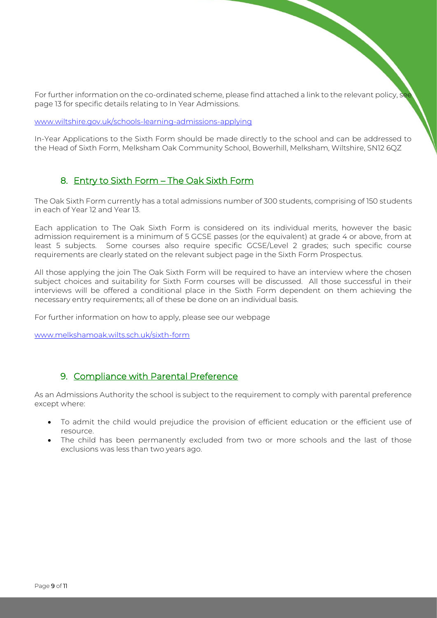For further information on the co-ordinated scheme, please find attached a link to the relevant policy, see page 13 for specific details relating to In Year Admissions.

[www.wiltshire.gov.uk/schools-learning-admissions-applying](http://www.wiltshire.gov.uk/schools-learning-admissions-applying)

In-Year Applications to the Sixth Form should be made directly to the school and can be addressed to the Head of Sixth Form, Melksham Oak Community School, Bowerhill, Melksham, Wiltshire, SN12 6QZ

## 8. Entry to Sixth Form – The Oak Sixth Form

The Oak Sixth Form currently has a total admissions number of 300 students, comprising of 150 students in each of Year 12 and Year 13.

Each application to The Oak Sixth Form is considered on its individual merits, however the basic admission requirement is a minimum of 5 GCSE passes (or the equivalent) at grade 4 or above, from at least 5 subjects. Some courses also require specific GCSE/Level 2 grades; such specific course requirements are clearly stated on the relevant subject page in the Sixth Form Prospectus.

All those applying the join The Oak Sixth Form will be required to have an interview where the chosen subject choices and suitability for Sixth Form courses will be discussed. All those successful in their interviews will be offered a conditional place in the Sixth Form dependent on them achieving the necessary entry requirements; all of these be done on an individual basis.

For further information on how to apply, please see our webpage

[www.melkshamoak.wilts.sch.uk/sixth-form](http://www.melkshamoak.wilts.sch.uk/sixth-form)

## 9. Compliance with Parental Preference

As an Admissions Authority the school is subject to the requirement to comply with parental preference except where:

- To admit the child would prejudice the provision of efficient education or the efficient use of resource.
- The child has been permanently excluded from two or more schools and the last of those exclusions was less than two years ago.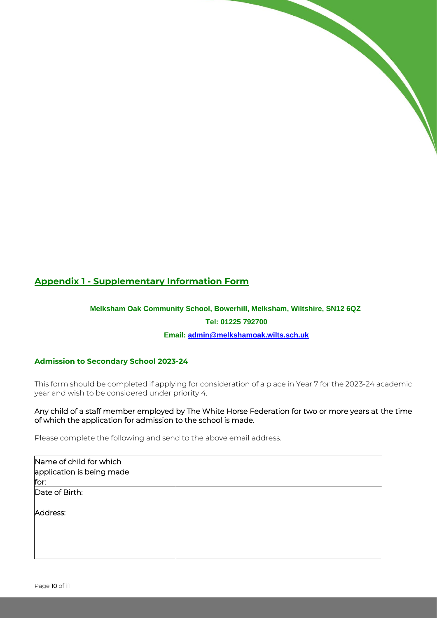# **Appendix 1 - Supplementary Information Form**

# **Melksham Oak Community School, Bowerhill, Melksham, Wiltshire, SN12 6QZ Tel: 01225 792700 Email: [admin@melkshamoak.wilts.sch.uk](mailto:admin@melkshamoak.wilts.sch.uk)**

## **Admission to Secondary School 2023-24**

This form should be completed if applying for consideration of a place in Year 7 for the 2023-24 academic year and wish to be considered under priority 4.

Any child of a staff member employed by The White Horse Federation for two or more years at the time of which the application for admission to the school is made.

Please complete the following and send to the above email address.

| Name of child for which<br>application is being made<br>for: |  |
|--------------------------------------------------------------|--|
| Date of Birth:                                               |  |
| Address:                                                     |  |